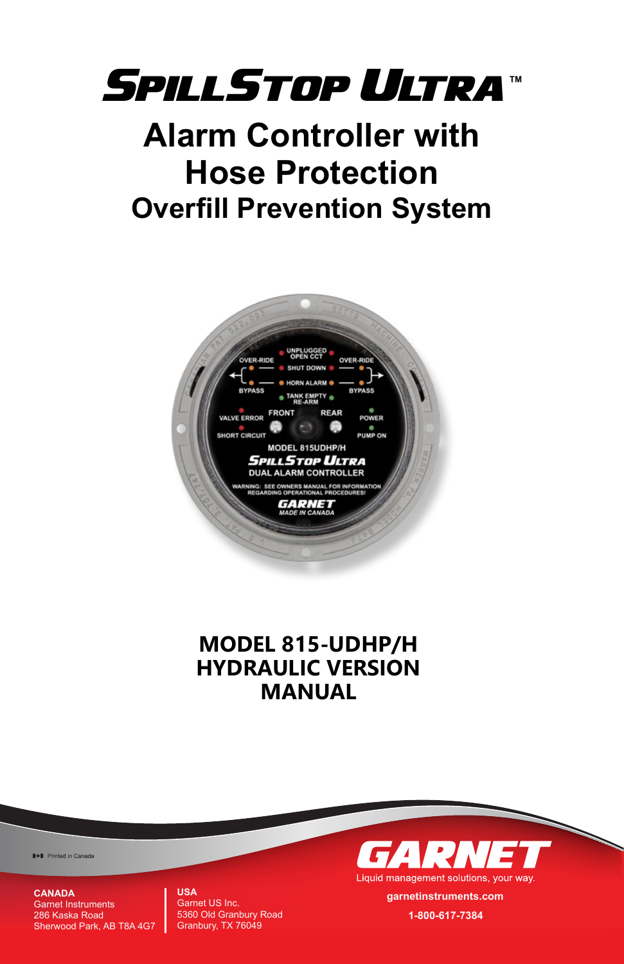

# **Alarm Controller with Hose Protection Overfill Prevention System**



# **MODEL 815-UDHP/H HYDRAULIC VERSION MANUAL**

**I-I** Printed in Canada

**CANADA** Garnet Instruments 286 Kaska Road Sherwood Park, AB T8A 4G7

#### **USA**

Garnet US Inc. 5360 Old Granbury Road Granbury, TX 76049



**garnetinstruments.com 1-800-617-7384**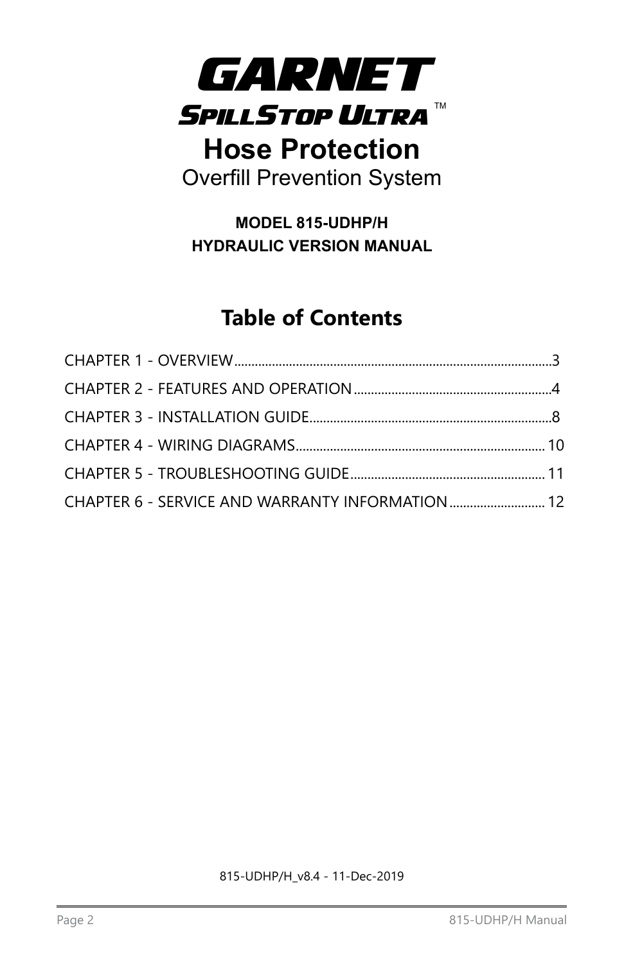

**MODEL 815-UDHP/H HYDRAULIC VERSION MANUAL**

# **Table of Contents**

| CHAPTER 6 - SERVICE AND WARRANTY INFORMATION  12 |  |
|--------------------------------------------------|--|

815-UDHP/H\_v8.4 - 11-Dec-2019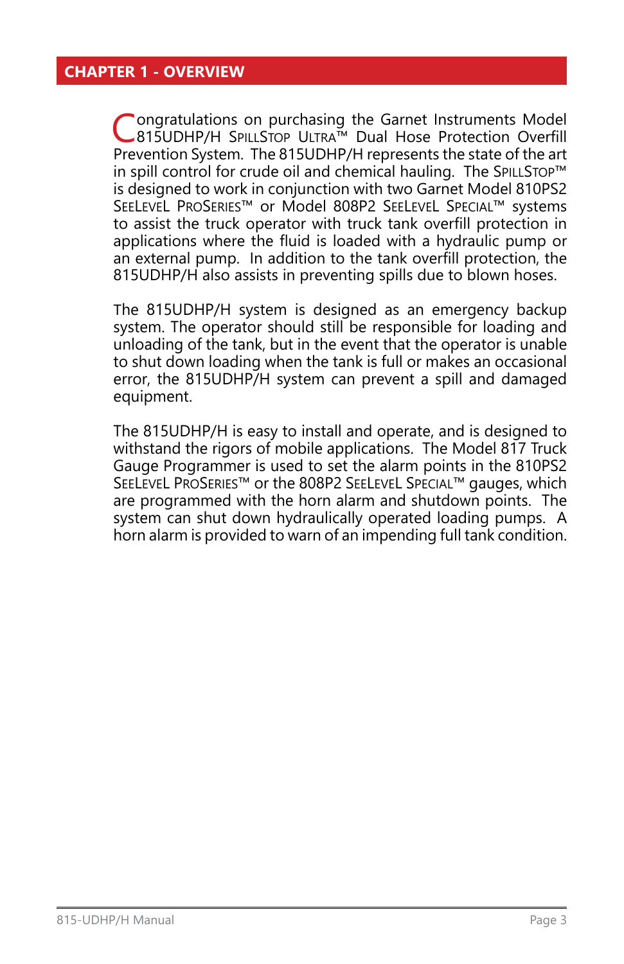#### <span id="page-2-0"></span>**CHAPTER 1 - OVERVIEW**

Congratulations on purchasing the Garnet Instruments Model<br>
815UDHP/H SPILLSTOP ULTRA™ Dual Hose Protection Overfill<br>
Research Schlink Schlinker The 915UDUD (University the state of the ortho Prevention System. The 815UDHP/H represents the state of the art in spill control for crude oil and chemical hauling. The SPILLSTOP™ is designed to work in conjunction with two Garnet Model 810PS2 SEELEVEL PROSERIES™ or Model 808P2 SEELEVEL SPECIAL™ systems to assist the truck operator with truck tank overfill protection in applications where the fluid is loaded with a hydraulic pump or an external pump. In addition to the tank overfill protection, the 815UDHP/H also assists in preventing spills due to blown hoses.

The 815UDHP/H system is designed as an emergency backup system. The operator should still be responsible for loading and unloading of the tank, but in the event that the operator is unable to shut down loading when the tank is full or makes an occasional error, the 815UDHP/H system can prevent a spill and damaged equipment.

The 815UDHP/H is easy to install and operate, and is designed to withstand the rigors of mobile applications. The Model 817 Truck Gauge Programmer is used to set the alarm points in the 810PS2 SEELEVEL PROSERIES™ or the 808P2 SEELEVEL SPECIAL™ gauges, which are programmed with the horn alarm and shutdown points. The system can shut down hydraulically operated loading pumps. A horn alarm is provided to warn of an impending full tank condition.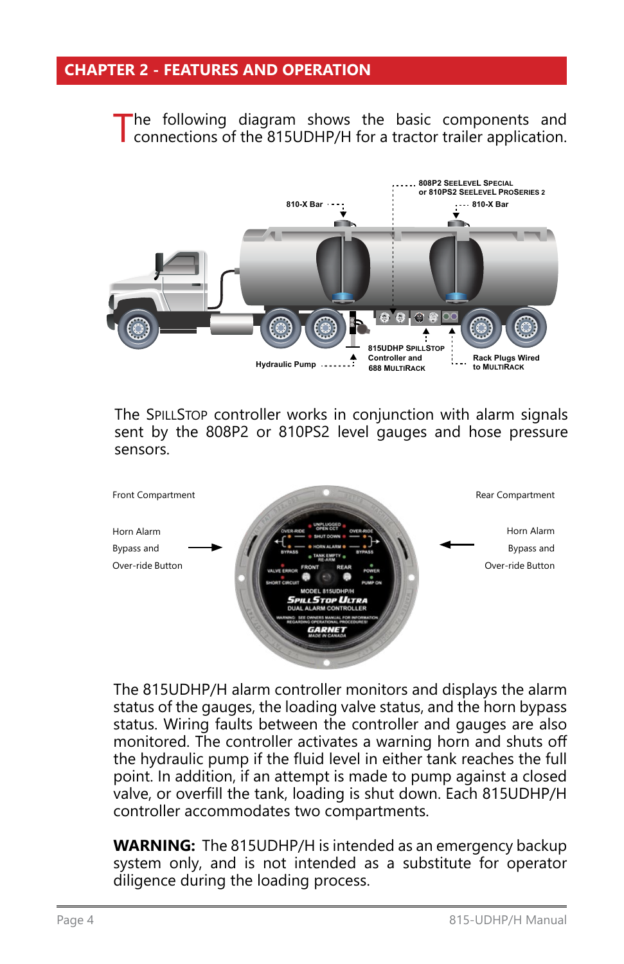#### <span id="page-3-0"></span>**CHAPTER 2 - FEATURES AND OPERATION**

The following diagram shows the basic components and connections of the 815UDHP/H for a tractor trailer application.



The SPILLSTOP controller works in conjunction with alarm signals sent by the 808P2 or 810PS2 level gauges and hose pressure sensors.



The 815UDHP/H alarm controller monitors and displays the alarm status of the gauges, the loading valve status, and the horn bypass status. Wiring faults between the controller and gauges are also monitored. The controller activates a warning horn and shuts off the hydraulic pump if the fluid level in either tank reaches the full point. In addition, if an attempt is made to pump against a closed valve, or overfill the tank, loading is shut down. Each 815UDHP/H controller accommodates two compartments.

**WARNING:** The 815UDHP/H is intended as an emergency backup system only, and is not intended as a substitute for operator diligence during the loading process.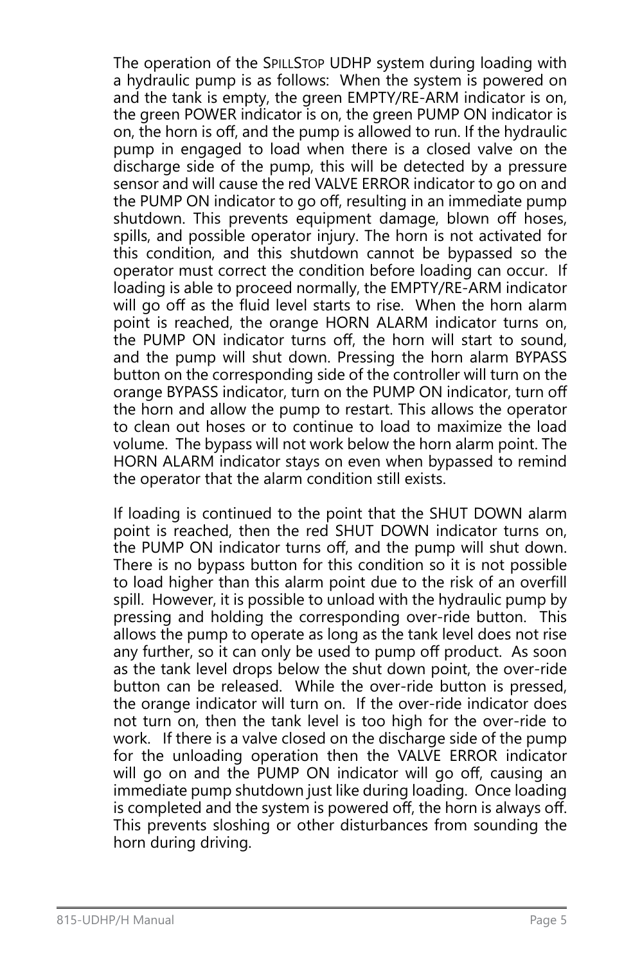The operation of the SPILLSTOP UDHP system during loading with a hydraulic pump is as follows: When the system is powered on and the tank is empty, the green EMPTY/RE-ARM indicator is on, the green POWER indicator is on, the green PUMP ON indicator is on, the horn is off, and the pump is allowed to run. If the hydraulic pump in engaged to load when there is a closed valve on the discharge side of the pump, this will be detected by a pressure sensor and will cause the red VALVE ERROR indicator to go on and the PUMP ON indicator to go off, resulting in an immediate pump shutdown. This prevents equipment damage, blown off hoses, spills, and possible operator injury. The horn is not activated for this condition, and this shutdown cannot be bypassed so the operator must correct the condition before loading can occur. If loading is able to proceed normally, the EMPTY/RE-ARM indicator will go off as the fluid level starts to rise. When the horn alarm point is reached, the orange HORN ALARM indicator turns on, the PUMP ON indicator turns off, the horn will start to sound, and the pump will shut down. Pressing the horn alarm BYPASS button on the corresponding side of the controller will turn on the orange BYPASS indicator, turn on the PUMP ON indicator, turn off the horn and allow the pump to restart. This allows the operator to clean out hoses or to continue to load to maximize the load volume. The bypass will not work below the horn alarm point. The HORN ALARM indicator stays on even when bypassed to remind the operator that the alarm condition still exists.

If loading is continued to the point that the SHUT DOWN alarm point is reached, then the red SHUT DOWN indicator turns on, the PUMP ON indicator turns off, and the pump will shut down. There is no bypass button for this condition so it is not possible to load higher than this alarm point due to the risk of an overfill spill. However, it is possible to unload with the hydraulic pump by pressing and holding the corresponding over-ride button. This allows the pump to operate as long as the tank level does not rise any further, so it can only be used to pump off product. As soon as the tank level drops below the shut down point, the over-ride button can be released. While the over-ride button is pressed, the orange indicator will turn on. If the over-ride indicator does not turn on, then the tank level is too high for the over-ride to work. If there is a valve closed on the discharge side of the pump for the unloading operation then the VALVE ERROR indicator will go on and the PUMP ON indicator will go off, causing an immediate pump shutdown just like during loading. Once loading is completed and the system is powered off, the horn is always off. This prevents sloshing or other disturbances from sounding the horn during driving.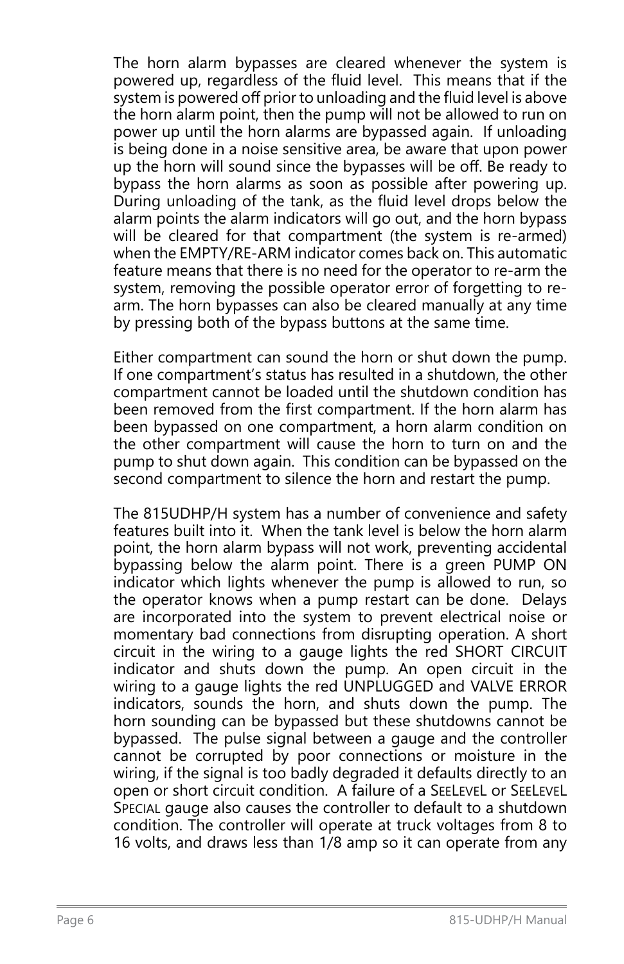The horn alarm bypasses are cleared whenever the system is powered up, regardless of the fluid level. This means that if the system is powered off prior to unloading and the fluid level is above the horn alarm point, then the pump will not be allowed to run on power up until the horn alarms are bypassed again. If unloading is being done in a noise sensitive area, be aware that upon power up the horn will sound since the bypasses will be off. Be ready to bypass the horn alarms as soon as possible after powering up. During unloading of the tank, as the fluid level drops below the alarm points the alarm indicators will go out, and the horn bypass will be cleared for that compartment (the system is re-armed) when the EMPTY/RE-ARM indicator comes back on. This automatic feature means that there is no need for the operator to re-arm the system, removing the possible operator error of forgetting to rearm. The horn bypasses can also be cleared manually at any time by pressing both of the bypass buttons at the same time.

Either compartment can sound the horn or shut down the pump. If one compartment's status has resulted in a shutdown, the other compartment cannot be loaded until the shutdown condition has been removed from the first compartment. If the horn alarm has been bypassed on one compartment, a horn alarm condition on the other compartment will cause the horn to turn on and the pump to shut down again. This condition can be bypassed on the second compartment to silence the horn and restart the pump.

The 815UDHP/H system has a number of convenience and safety features built into it. When the tank level is below the horn alarm point, the horn alarm bypass will not work, preventing accidental bypassing below the alarm point. There is a green PUMP ON indicator which lights whenever the pump is allowed to run, so the operator knows when a pump restart can be done. Delays are incorporated into the system to prevent electrical noise or momentary bad connections from disrupting operation. A short circuit in the wiring to a gauge lights the red SHORT CIRCUIT indicator and shuts down the pump. An open circuit in the wiring to a gauge lights the red UNPLUGGED and VALVE ERROR indicators, sounds the horn, and shuts down the pump. The horn sounding can be bypassed but these shutdowns cannot be bypassed. The pulse signal between a gauge and the controller cannot be corrupted by poor connections or moisture in the wiring, if the signal is too badly degraded it defaults directly to an open or short circuit condition. A failure of a SEELEVEL or SEELEVEL SPECIAL gauge also causes the controller to default to a shutdown condition. The controller will operate at truck voltages from 8 to 16 volts, and draws less than 1/8 amp so it can operate from any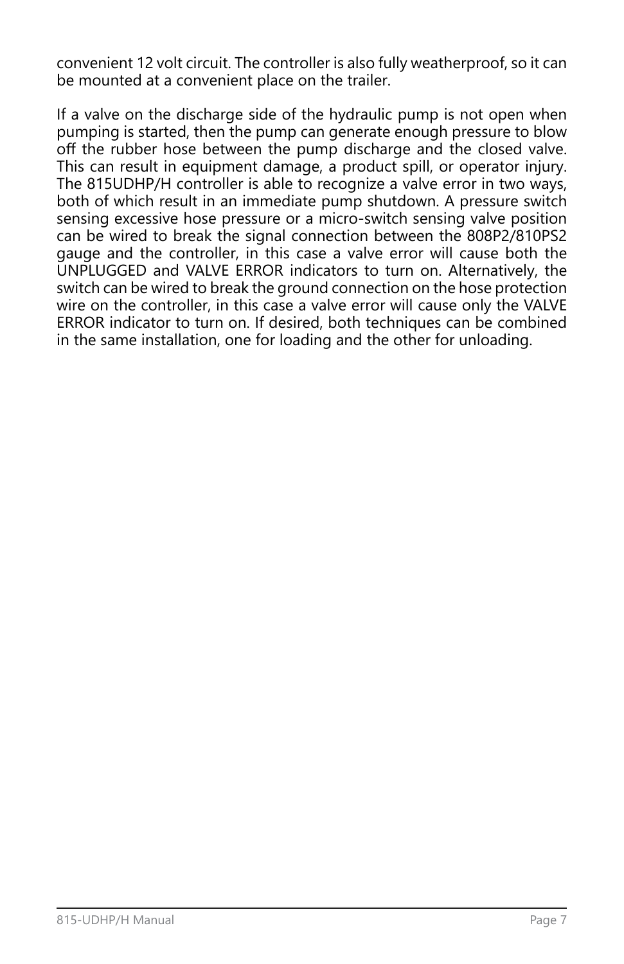convenient 12 volt circuit. The controller is also fully weatherproof, so it can be mounted at a convenient place on the trailer.

If a valve on the discharge side of the hydraulic pump is not open when pumping is started, then the pump can generate enough pressure to blow off the rubber hose between the pump discharge and the closed valve. This can result in equipment damage, a product spill, or operator injury. The 815UDHP/H controller is able to recognize a valve error in two ways, both of which result in an immediate pump shutdown. A pressure switch sensing excessive hose pressure or a micro-switch sensing valve position can be wired to break the signal connection between the 808P2/810PS2 gauge and the controller, in this case a valve error will cause both the UNPLUGGED and VALVE ERROR indicators to turn on. Alternatively, the switch can be wired to break the ground connection on the hose protection wire on the controller, in this case a valve error will cause only the VALVE ERROR indicator to turn on. If desired, both techniques can be combined in the same installation, one for loading and the other for unloading.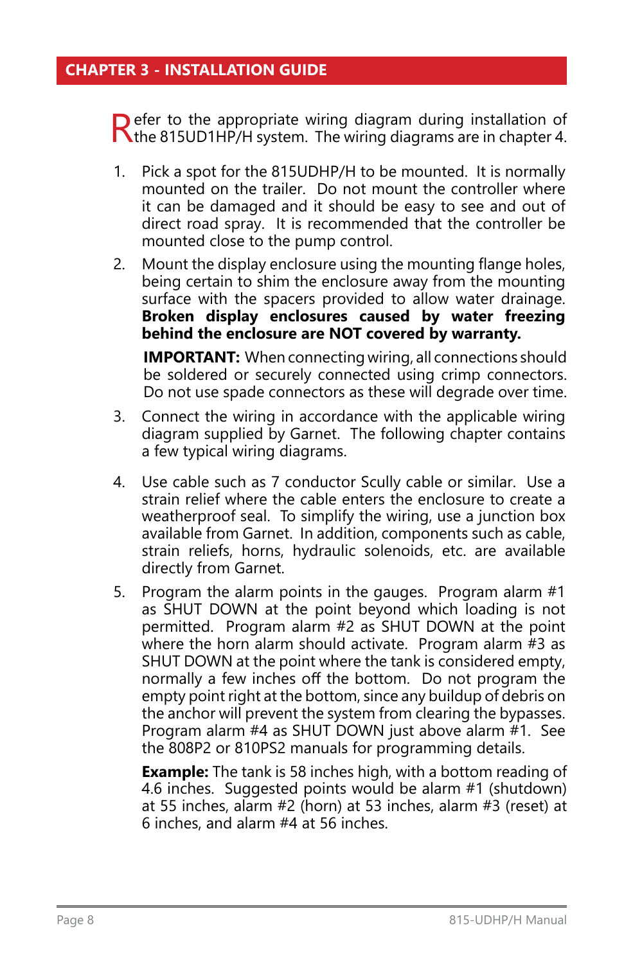#### <span id="page-7-0"></span>**CHAPTER 3 - INSTALLATION GUIDE**

Refer to the appropriate wiring diagram during installation of Rithe 815UD1HP/H system. The wiring diagrams are in chapter 4.

- 1. Pick a spot for the 815UDHP/H to be mounted. It is normally mounted on the trailer. Do not mount the controller where it can be damaged and it should be easy to see and out of direct road spray. It is recommended that the controller be mounted close to the pump control.
- 2. Mount the display enclosure using the mounting flange holes, being certain to shim the enclosure away from the mounting surface with the spacers provided to allow water drainage. **Broken display enclosures caused by water freezing behind the enclosure are NOT covered by warranty.**

**IMPORTANT:** When connecting wiring, all connections should be soldered or securely connected using crimp connectors. Do not use spade connectors as these will degrade over time.

- 3. Connect the wiring in accordance with the applicable wiring diagram supplied by Garnet. The following chapter contains a few typical wiring diagrams.
- 4. Use cable such as 7 conductor Scully cable or similar. Use a strain relief where the cable enters the enclosure to create a weatherproof seal. To simplify the wiring, use a junction box available from Garnet. In addition, components such as cable, strain reliefs, horns, hydraulic solenoids, etc. are available directly from Garnet.
- 5. Program the alarm points in the gauges. Program alarm #1 as SHUT DOWN at the point beyond which loading is not permitted. Program alarm #2 as SHUT DOWN at the point where the horn alarm should activate. Program alarm #3 as SHUT DOWN at the point where the tank is considered empty, normally a few inches off the bottom. Do not program the empty point right at the bottom, since any buildup of debris on the anchor will prevent the system from clearing the bypasses. Program alarm #4 as SHUT DOWN just above alarm #1. See the 808P2 or 810PS2 manuals for programming details.

**Example:** The tank is 58 inches high, with a bottom reading of 4.6 inches. Suggested points would be alarm #1 (shutdown) at 55 inches, alarm #2 (horn) at 53 inches, alarm #3 (reset) at 6 inches, and alarm #4 at 56 inches.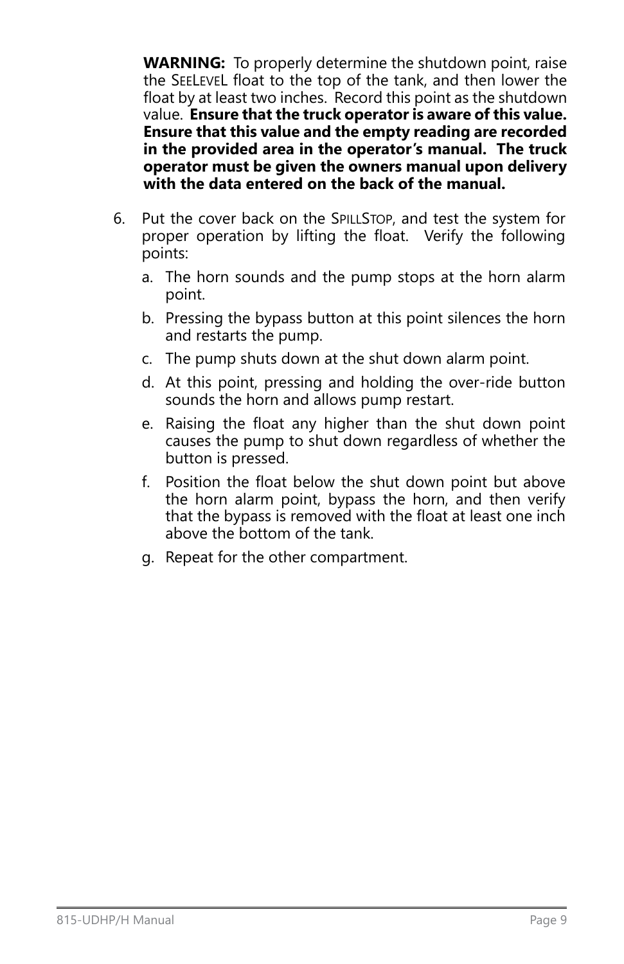**WARNING:** To properly determine the shutdown point, raise the SEELEVEL float to the top of the tank, and then lower the float by at least two inches. Record this point as the shutdown value. **Ensure that the truck operator is aware of this value. Ensure that this value and the empty reading are recorded in the provided area in the operator's manual. The truck operator must be given the owners manual upon delivery with the data entered on the back of the manual.**

- 6. Put the cover back on the SPILLSTOP, and test the system for proper operation by lifting the float. Verify the following points:
	- a. The horn sounds and the pump stops at the horn alarm point.
	- b. Pressing the bypass button at this point silences the horn and restarts the pump.
	- c. The pump shuts down at the shut down alarm point.
	- d. At this point, pressing and holding the over-ride button sounds the horn and allows pump restart.
	- e. Raising the float any higher than the shut down point causes the pump to shut down regardless of whether the button is pressed.
	- f. Position the float below the shut down point but above the horn alarm point, bypass the horn, and then verify that the bypass is removed with the float at least one inch above the bottom of the tank.
	- g. Repeat for the other compartment.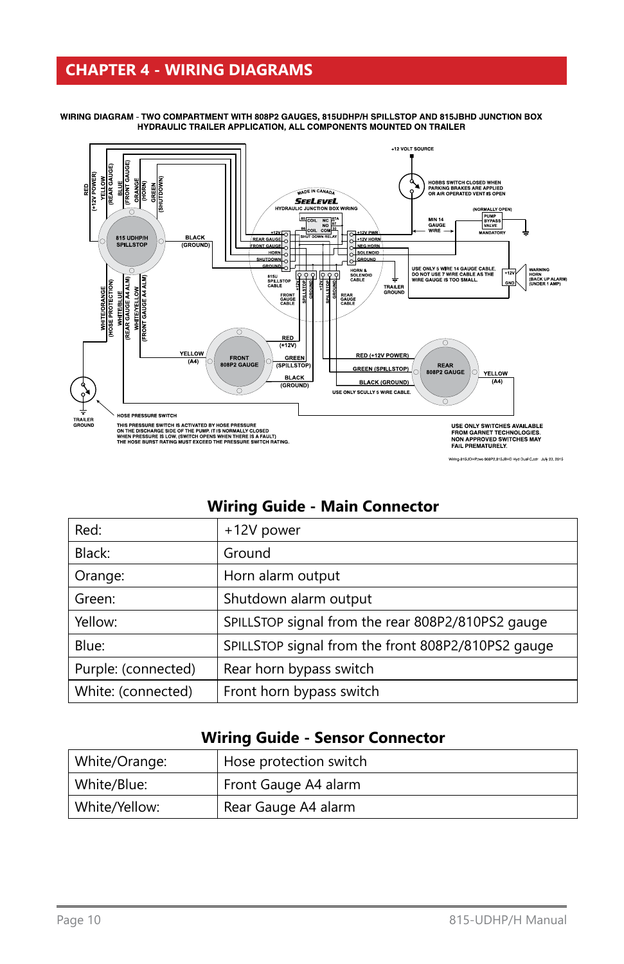# <span id="page-9-0"></span>**CHAPTER 4 - WIRING DIAGRAMS**



WIRING DIAGRAM - TWO COMPARTMENT WITH 808P2 GAUGES, 815UDHP/H SPILLSTOP AND 815JBHD JUNCTION BOX HYDRAULIC TRAILER APPLICATION, ALL COMPONENTS MOUNTED ON TRAILER

## **Wiring Guide - Main Connector**

| Red:                | +12V power                                         |
|---------------------|----------------------------------------------------|
| Black:              | Ground                                             |
| Orange:             | Horn alarm output                                  |
| Green:              | Shutdown alarm output                              |
| Yellow:             | SPILLSTOP signal from the rear 808P2/810PS2 gauge  |
| Blue:               | SPILLSTOP signal from the front 808P2/810PS2 gauge |
| Purple: (connected) | Rear horn bypass switch                            |
| White: (connected)  | Front horn bypass switch                           |

## **Wiring Guide - Sensor Connector**

| White/Orange: | Hose protection switch |
|---------------|------------------------|
| White/Blue:   | Front Gauge A4 alarm   |
| White/Yellow: | Rear Gauge A4 alarm    |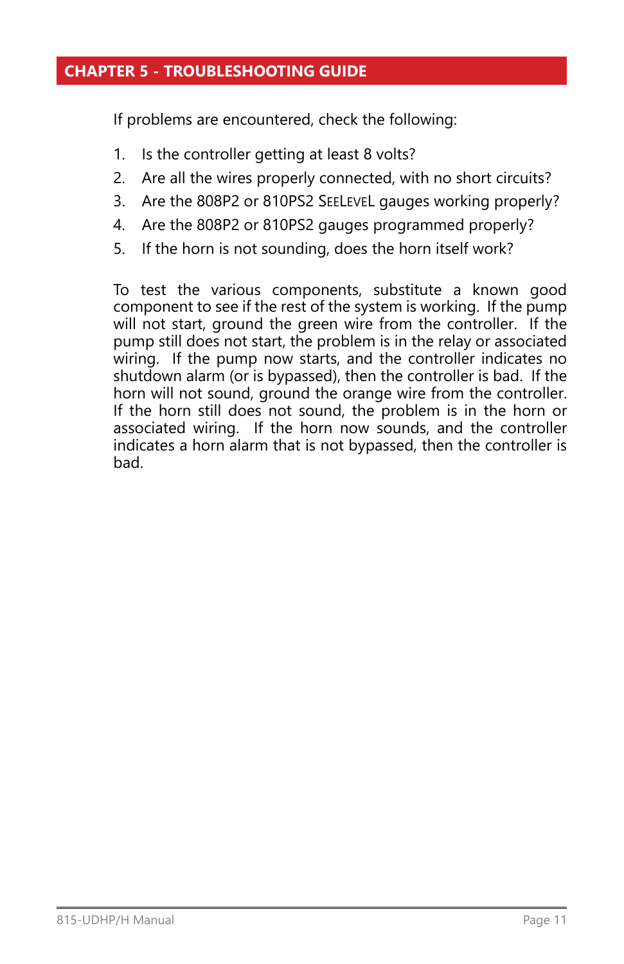#### <span id="page-10-0"></span>**CHAPTER 5 - TROUBLESHOOTING GUIDE**

If problems are encountered, check the following:

- 1. Is the controller getting at least 8 volts?
- 2. Are all the wires properly connected, with no short circuits?
- 3. Are the 808P2 or 810PS2 SEELEVEL gauges working properly?
- 4. Are the 808P2 or 810PS2 gauges programmed properly?
- 5. If the horn is not sounding, does the horn itself work?

To test the various components, substitute a known good component to see if the rest of the system is working. If the pump will not start, ground the green wire from the controller. If the pump still does not start, the problem is in the relay or associated wiring. If the pump now starts, and the controller indicates no shutdown alarm (or is bypassed), then the controller is bad. If the horn will not sound, ground the orange wire from the controller. If the horn still does not sound, the problem is in the horn or associated wiring. If the horn now sounds, and the controller indicates a horn alarm that is not bypassed, then the controller is bad.